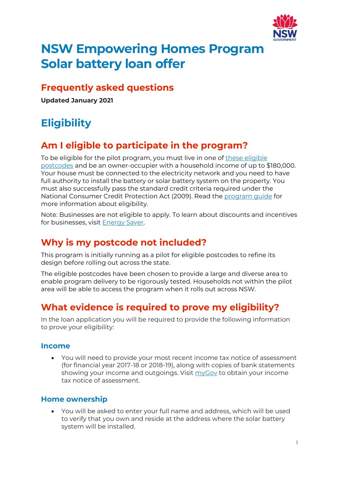

# **NSW Empowering Homes Program Solar battery loan offer**

#### **Frequently asked questions**

**Updated January 2021**

## **Eligibility**

### **Am I eligible to participate in the program?**

To be eligible for the pilot program, you must live in one of these eligible [postcodes](https://energysaver.nsw.gov.au/media/1981/download) and be an owner-occupier with a household income of up to \$180,000. Your house must be connected to the electricity network and you need to have full authority to install the battery or solar battery system on the property. You must also successfully pass the standard credit criteria required under the National Consumer Credit Protection Act (2009). Read the [program guide](https://energysaver.nsw.gov.au/media/1986/download) for more information about eligibility.

Note: Businesses are not eligible to apply. To learn about discounts and incentives for businesses, visit [Energy Saver.](https://energysaver.nsw.gov.au/) 

### **Why is my postcode not included?**

This program is initially running as a pilot for eligible postcodes to refine its design before rolling out across the state.

The eligible postcodes have been chosen to provide a large and diverse area to enable program delivery to be rigorously tested. Households not within the pilot area will be able to access the program when it rolls out across NSW.

### **What evidence is required to prove my eligibility?**

In the loan application you will be required to provide the following information to prove your eligibility:

#### **Income**

• You will need to provide your most recent income tax notice of assessment (for financial year 2017-18 or 2018-19), along with copies of bank statements showing your income and outgoings. Visit [myGov](https://my.gov.au/LoginServices/main/login?execution=e2s1) to obtain your income tax notice of assessment.

#### **Home ownership**

• You will be asked to enter your full name and address, which will be used to verify that you own and reside at the address where the solar battery system will be installed.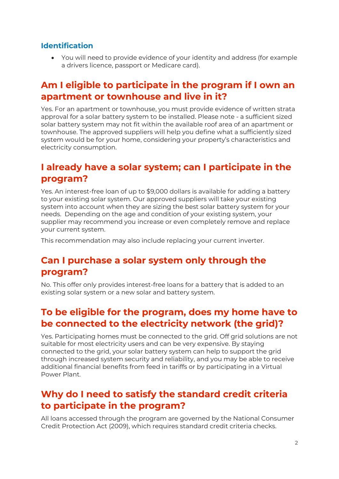#### **Identification**

• You will need to provide evidence of your identity and address (for example a drivers licence, passport or Medicare card).

#### **Am I eligible to participate in the program if I own an apartment or townhouse and live in it?**

Yes. For an apartment or townhouse, you must provide evidence of written strata approval for a solar battery system to be installed. Please note - a sufficient sized solar battery system may not fit within the available roof area of an apartment or townhouse. The approved suppliers will help you define what a sufficiently sized system would be for your home, considering your property's characteristics and electricity consumption.

#### **I already have a solar system; can I participate in the program?**

Yes. An interest-free loan of up to \$9,000 dollars is available for adding a battery to your existing solar system. Our approved suppliers will take your existing system into account when they are sizing the best solar battery system for your needs. Depending on the age and condition of your existing system, your supplier may recommend you increase or even completely remove and replace your current system.

This recommendation may also include replacing your current inverter.

#### **Can I purchase a solar system only through the program?**

No. This offer only provides interest-free loans for a battery that is added to an existing solar system or a new solar and battery system.

#### **To be eligible for the program, does my home have to be connected to the electricity network (the grid)?**

Yes. Participating homes must be connected to the grid. Off grid solutions are not suitable for most electricity users and can be very expensive. By staying connected to the grid, your solar battery system can help to support the grid through increased system security and reliability, and you may be able to receive additional financial benefits from feed in tariffs or by participating in a Virtual Power Plant.

#### **Why do I need to satisfy the standard credit criteria to participate in the program?**

All loans accessed through the program are governed by the National Consumer Credit Protection Act (2009), which requires standard credit criteria checks.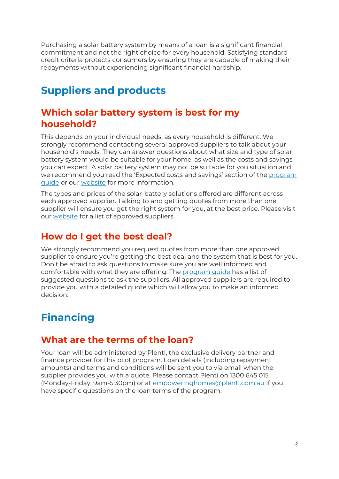Purchasing a solar battery system by means of a loan is a significant financial commitment and not the right choice for every household. Satisfying standard credit criteria protects consumers by ensuring they are capable of making their repayments without experiencing significant financial hardship.

## **Suppliers and products**

#### **Which solar battery system is best for my household?**

This depends on your individual needs, as every household is different. We strongly recommend contacting several approved suppliers to talk about your household's needs. They can answer questions about what size and type of solar battery system would be suitable for your home, as well as the costs and savings you can expect. A solar battery system may not be suitable for you situation and we recommend you read the 'Expected costs and savings' section of the program [guide](https://energysaver.nsw.gov.au/media/1986/download) or our [website](https://energysaver.nsw.gov.au/households/solar-and-battery-power/solar-battery-loan-offer) for more information.

The types and prices of the solar-battery solutions offered are different across each approved supplier. Talking to and getting quotes from more than one supplier will ensure you get the right system for you, at the best price. Please visit our [website](https://energysaver.nsw.gov.au/households/solar-and-battery-power/solar-battery-loan-offer) for a list of approved suppliers.

#### **How do I get the best deal?**

We strongly recommend you request quotes from more than one approved supplier to ensure you're getting the best deal and the system that is best for you. Don't be afraid to ask questions to make sure you are well informed and comfortable with what they are offering. The [program guide](https://energysaver.nsw.gov.au/media/1986/download) has a list of suggested questions to ask the suppliers. All approved suppliers are required to provide you with a detailed quote which will allow you to make an informed decision.

## **Financing**

#### **What are the terms of the loan?**

Your loan will be administered by Plenti, the exclusive delivery partner and finance provider for this pilot program. Loan details (including repayment amounts) and terms and conditions will be sent you to via email when the supplier provides you with a quote. Please contact Plenti on 1300 645 015 (Monday-Friday, 9am-5:30pm) or at [empoweringhomes@plenti.com.au](mailto:empoweringhomes@plenti.com.au) if you have specific questions on the loan terms of the program.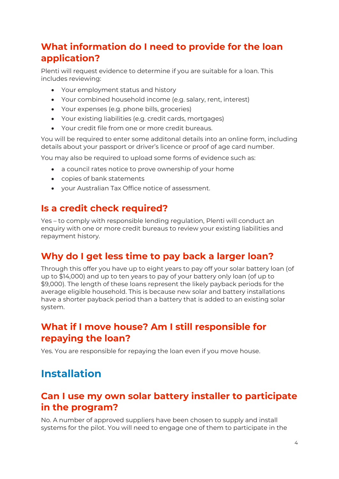### **What information do I need to provide for the loan application?**

Plenti will request evidence to determine if you are suitable for a loan. This includes reviewing:

- Your employment status and history
- Your combined household income (e.g. salary, rent, interest)
- Your expenses (e.g. phone bills, groceries)
- Your existing liabilities (e.g. credit cards, mortgages)
- Your credit file from one or more credit bureaus.

You will be required to enter some additonal details into an online form, including details about your passport or driver's licence or proof of age card number.

You may also be required to upload some forms of evidence such as:

- a council rates notice to prove ownership of your home
- copies of bank statements
- your Australian Tax Office notice of assessment.

#### **Is a credit check required?**

Yes – to comply with responsible lending regulation, Plenti will conduct an enquiry with one or more credit bureaus to review your existing liabilities and repayment history.

### **Why do I get less time to pay back a larger loan?**

Through this offer you have up to eight years to pay off your solar battery loan (of up to \$14,000) and up to ten years to pay of your battery only loan (of up to \$9,000). The length of these loans represent the likely payback periods for the average eligible household. This is because new solar and battery installations have a shorter payback period than a battery that is added to an existing solar system.

#### **What if I move house? Am I still responsible for repaying the loan?**

Yes. You are responsible for repaying the loan even if you move house.

### **Installation**

#### **Can I use my own solar battery installer to participate in the program?**

No. A number of approved suppliers have been chosen to supply and install systems for the pilot. You will need to engage one of them to participate in the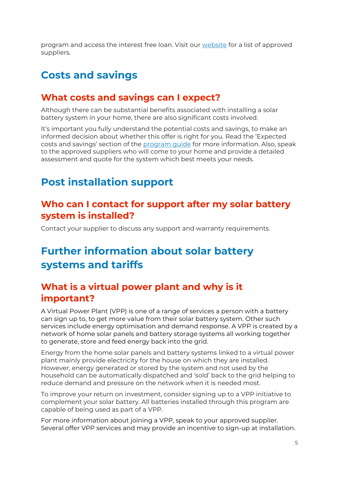program and access the interest free loan. Visit our [website](https://energysaver.nsw.gov.au/households/solar-and-battery-power/solar-battery-loan-offer) for a list of approved suppliers.

### **Costs and savings**

#### **What costs and savings can I expect?**

Although there can be substantial benefits associated with installing a solar battery system in your home, there are also significant costs involved.

It's important you fully understand the potential costs and savings, to make an informed decision about whether this offer is right for you. Read the 'Expected costs and savings' section of the [program guide](https://energysaver.nsw.gov.au/media/1986/download) for more information. Also, speak to the approved suppliers who will come to your home and provide a detailed assessment and quote for the system which best meets your needs.

### **Post installation support**

#### **Who can I contact for support after my solar battery system is installed?**

Contact your supplier to discuss any support and warranty requirements.

## **Further information about solar battery systems and tariffs**

#### **What is a virtual power plant and why is it important?**

A Virtual Power Plant (VPP) is one of a range of services a person with a battery can sign up to, to get more value from their solar battery system. Other such services include energy optimisation and demand response. A VPP is created by a network of home solar panels and battery storage systems all working together to generate, store and feed energy back into the grid.

Energy from the home solar panels and battery systems linked to a virtual power plant mainly provide electricity for the house on which they are installed. However, energy generated or stored by the system and not used by the household can be automatically dispatched and 'sold' back to the grid helping to reduce demand and pressure on the network when it is needed most.

To improve your return on investment, consider signing up to a VPP initiative to complement your solar battery. All batteries installed through this program are capable of being used as part of a VPP.

For more information about joining a VPP, speak to your approved supplier. Several offer VPP services and may provide an incentive to sign-up at installation.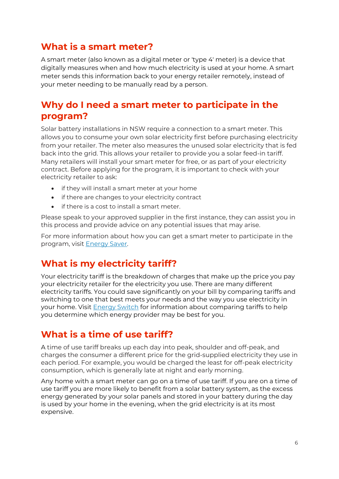#### **What is a smart meter?**

A smart meter (also known as a digital meter or 'type 4' meter) is a device that digitally measures when and how much electricity is used at your home. A smart meter sends this information back to your energy retailer remotely, instead of your meter needing to be manually read by a person.

#### **Why do I need a smart meter to participate in the program?**

Solar battery installations in NSW require a connection to a smart meter. This allows you to consume your own solar electricity first before purchasing electricity from your retailer. The meter also measures the unused solar electricity that is fed back into the grid. This allows your retailer to provide you a solar feed-in tariff. Many retailers will install your smart meter for free, or as part of your electricity contract. Before applying for the program, it is important to check with your electricity retailer to ask:

- if they will install a smart meter at your home
- if there are changes to your electricity contract
- if there is a cost to install a smart meter.

Please speak to your approved supplier in the first instance, they can assist you in this process and provide advice on any potential issues that may arise.

For more information about how you can get a smart meter to participate in the program, visit [Energy Saver.](https://energysaver.nsw.gov.au/households/understand-your-usage/smart-meters)

#### **What is my electricity tariff?**

Your electricity tariff is the breakdown of charges that make up the price you pay your electricity retailer for the electricity you use. There are many different electricity tariffs. You could save significantly on your bill by comparing tariffs and switching to one that best meets your needs and the way you use electricity in your home. Visit [Energy Switch](https://energyswitch.service.nsw.gov.au/) for information about comparing tariffs to help you determine which energy provider may be best for you.

#### **What is a time of use tariff?**

A time of use tariff breaks up each day into peak, shoulder and off-peak, and charges the consumer a different price for the grid-supplied electricity they use in each period. For example, you would be charged the least for off-peak electricity consumption, which is generally late at night and early morning.

Any home with a smart meter can go on a time of use tariff. If you are on a time of use tariff you are more likely to benefit from a solar battery system, as the excess energy generated by your solar panels and stored in your battery during the day is used by your home in the evening, when the grid electricity is at its most expensive.